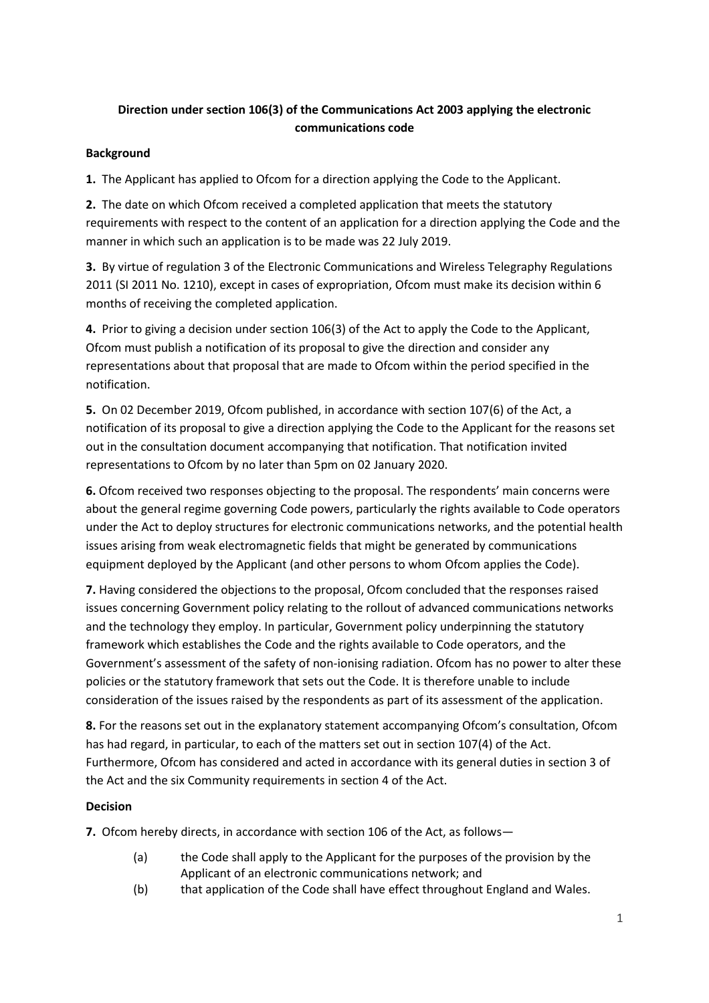# **Direction under section 106(3) of the Communications Act 2003 applying the electronic communications code**

### **Background**

**1.** The Applicant has applied to Ofcom for a direction applying the Code to the Applicant.

**2.** The date on which Ofcom received a completed application that meets the statutory requirements with respect to the content of an application for a direction applying the Code and the manner in which such an application is to be made was 22 July 2019.

**3.** By virtue of regulation 3 of the Electronic Communications and Wireless Telegraphy Regulations 2011 (SI 2011 No. 1210), except in cases of expropriation, Ofcom must make its decision within 6 months of receiving the completed application.

**4.** Prior to giving a decision under section 106(3) of the Act to apply the Code to the Applicant, Ofcom must publish a notification of its proposal to give the direction and consider any representations about that proposal that are made to Ofcom within the period specified in the notification.

**5.** On 02 December 2019, Ofcom published, in accordance with section 107(6) of the Act, a notification of its proposal to give a direction applying the Code to the Applicant for the reasons set out in the consultation document accompanying that notification. That notification invited representations to Ofcom by no later than 5pm on 02 January 2020.

**6.** Ofcom received two responses objecting to the proposal. The respondents' main concerns were about the general regime governing Code powers, particularly the rights available to Code operators under the Act to deploy structures for electronic communications networks, and the potential health issues arising from weak electromagnetic fields that might be generated by communications equipment deployed by the Applicant (and other persons to whom Ofcom applies the Code).

**7.** Having considered the objections to the proposal, Ofcom concluded that the responses raised issues concerning Government policy relating to the rollout of advanced communications networks and the technology they employ. In particular, Government policy underpinning the statutory framework which establishes the Code and the rights available to Code operators, and the Government's assessment of the safety of non-ionising radiation. Ofcom has no power to alter these policies or the statutory framework that sets out the Code. It is therefore unable to include consideration of the issues raised by the respondents as part of its assessment of the application.

**8.** For the reasons set out in the explanatory statement accompanying Ofcom's consultation, Ofcom has had regard, in particular, to each of the matters set out in section 107(4) of the Act. Furthermore, Ofcom has considered and acted in accordance with its general duties in section 3 of the Act and the six Community requirements in section 4 of the Act.

## **Decision**

**7.** Ofcom hereby directs, in accordance with section 106 of the Act, as follows—

- (a) the Code shall apply to the Applicant for the purposes of the provision by the Applicant of an electronic communications network; and
- (b) that application of the Code shall have effect throughout England and Wales.